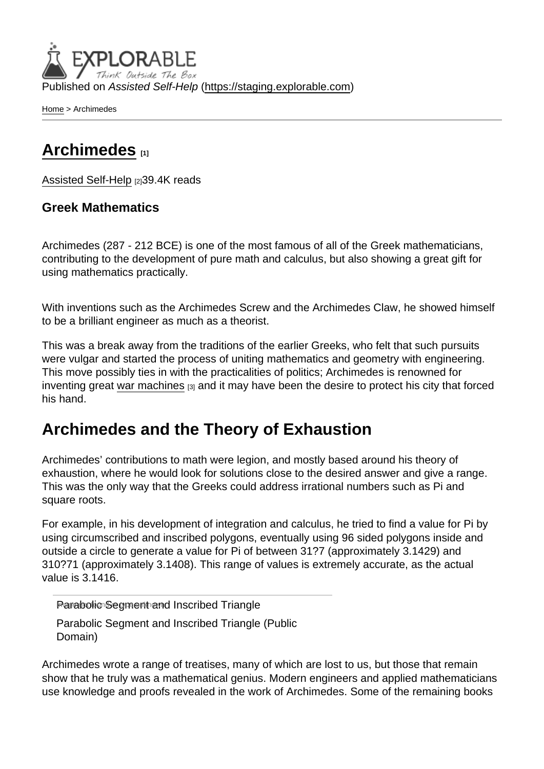Published on Assisted Self-Help [\(https://staging.explorable.com](https://staging.explorable.com))

[Home](https://staging.explorable.com/en) > Archimedes

# [Archimedes](https://staging.explorable.com/en/archimedes) [1]

[Assisted Self-Help](https://staging.explorable.com/en) [2]39.4K reads

### Greek Mathematics

Archimedes (287 - 212 BCE) is one of the most famous of all of the Greek mathematicians, contributing to the development of pure math and calculus, but also showing a great gift for using mathematics practically.

With inventions such as the Archimedes Screw and the Archimedes Claw, he showed himself to be a brilliant engineer as much as a theorist.

This was a break away from the traditions of the earlier Greeks, who felt that such pursuits were vulgar and started the process of uniting mathematics and geometry with engineering. This move possibly ties in with the practicalities of politics; Archimedes is renowned for inventing great [war machines](https://staging.explorable.com/archimedes-war-machines)  $[3]$  and it may have been the desire to protect his city that forced his hand.

# Archimedes and the Theory of Exhaustion

Archimedes' contributions to math were legion, and mostly based around his theory of exhaustion, where he would look for solutions close to the desired answer and give a range. This was the only way that the Greeks could address irrational numbers such as Pi and square roots.

For example, in his development of integration and calculus, he tried to find a value for Pi by using circumscribed and inscribed polygons, eventually using 96 sided polygons inside and outside a circle to generate a value for Pi of between 31?7 (approximately 3.1429) and 310?71 (approximately 3.1408). This range of values is extremely accurate, as the actual value is 3.1416.

Parabolic Segment and Inscribed Triangle

Parabolic Segment and Inscribed Triangle (Public Domain)

Archimedes wrote a range of treatises, many of which are lost to us, but those that remain show that he truly was a mathematical genius. Modern engineers and applied mathematicians use knowledge and proofs revealed in the work of Archimedes. Some of the remaining books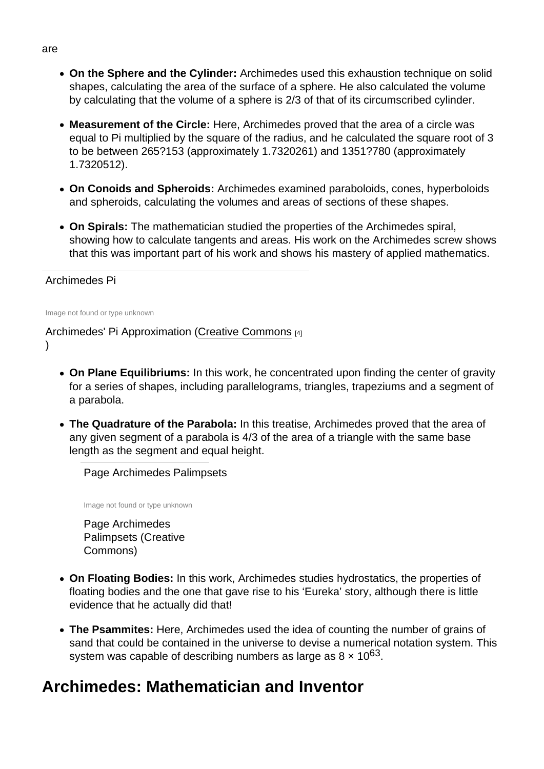- On the Sphere and the Cylinder: Archimedes used this exhaustion technique on solid shapes, calculating the area of the surface of a sphere. He also calculated the volume by calculating that the volume of a sphere is 2/3 of that of its circumscribed cylinder.
- Measurement of the Circle: Here, Archimedes proved that the area of a circle was equal to Pi multiplied by the square of the radius, and he calculated the square root of 3 to be between 265?153 (approximately 1.7320261) and 1351?780 (approximately 1.7320512).
- On Conoids and Spheroids: Archimedes examined paraboloids, cones, hyperboloids and spheroids, calculating the volumes and areas of sections of these shapes.
- On Spirals: The mathematician studied the properties of the Archimedes spiral, showing how to calculate tangents and areas. His work on the Archimedes screw shows that this was important part of his work and shows his mastery of applied mathematics.

### Archimedes Pi

Image not found or type unknown

### Archimedes' Pi Approximation ([Creative Commons](http://commons.wikimedia.org/wiki/User:El_Caro) [4] )

- On Plane Equilibriums: In this work, he concentrated upon finding the center of gravity for a series of shapes, including parallelograms, triangles, trapeziums and a segment of a parabola.
- The Quadrature of the Parabola: In this treatise, Archimedes proved that the area of any given segment of a parabola is 4/3 of the area of a triangle with the same base length as the segment and equal height.

Page Archimedes Palimpsets

Image not found or type unknown

Page Archimedes Palimpsets (Creative Commons)

- On Floating Bodies: In this work, Archimedes studies hydrostatics, the properties of floating bodies and the one that gave rise to his 'Eureka' story, although there is little evidence that he actually did that!
- The Psammites: Here, Archimedes used the idea of counting the number of grains of sand that could be contained in the universe to devise a numerical notation system. This system was capable of describing numbers as large as  $8 \times 10^{63}$ .

# Archimedes: Mathematician and Inventor

#### are